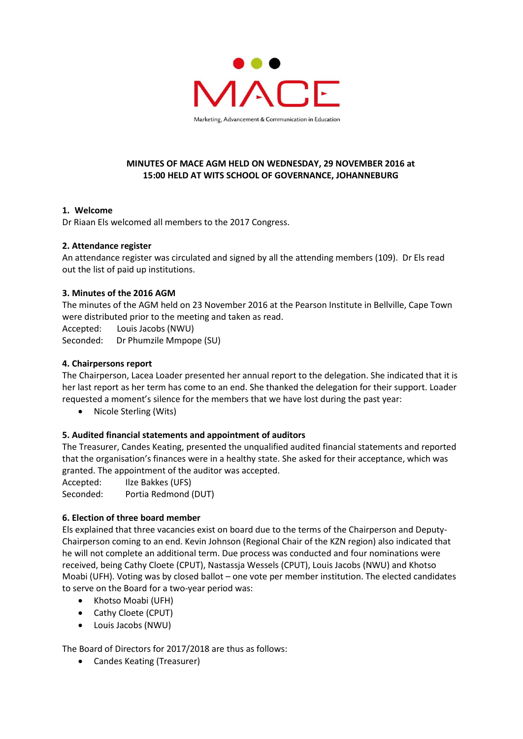

## **MINUTES OF MACE AGM HELD ON WEDNESDAY, 29 NOVEMBER 2016 at 15:00 HELD AT WITS SCHOOL OF GOVERNANCE, JOHANNEBURG**

### **1. Welcome**

Dr Riaan Els welcomed all members to the 2017 Congress.

### **2. Attendance register**

An attendance register was circulated and signed by all the attending members (109). Dr Els read out the list of paid up institutions.

## **3. Minutes of the 2016 AGM**

The minutes of the AGM held on 23 November 2016 at the Pearson Institute in Bellville, Cape Town were distributed prior to the meeting and taken as read.

Accepted: Louis Jacobs (NWU)

Seconded: Dr Phumzile Mmpope (SU)

## **4. Chairpersons report**

The Chairperson, Lacea Loader presented her annual report to the delegation. She indicated that it is her last report as her term has come to an end. She thanked the delegation for their support. Loader requested a moment's silence for the members that we have lost during the past year:

• Nicole Sterling (Wits)

# **5. Audited financial statements and appointment of auditors**

The Treasurer, Candes Keating, presented the unqualified audited financial statements and reported that the organisation's finances were in a healthy state. She asked for their acceptance, which was granted. The appointment of the auditor was accepted.

Accepted: Ilze Bakkes (UFS)

Seconded: Portia Redmond (DUT)

### **6. Election of three board member**

Els explained that three vacancies exist on board due to the terms of the Chairperson and Deputy-Chairperson coming to an end. Kevin Johnson (Regional Chair of the KZN region) also indicated that he will not complete an additional term. Due process was conducted and four nominations were received, being Cathy Cloete (CPUT), Nastassja Wessels (CPUT), Louis Jacobs (NWU) and Khotso Moabi (UFH). Voting was by closed ballot – one vote per member institution. The elected candidates to serve on the Board for a two-year period was:

- Khotso Moabi (UFH)
- Cathy Cloete (CPUT)
- Louis Jacobs (NWU)

The Board of Directors for 2017/2018 are thus as follows:

Candes Keating (Treasurer)